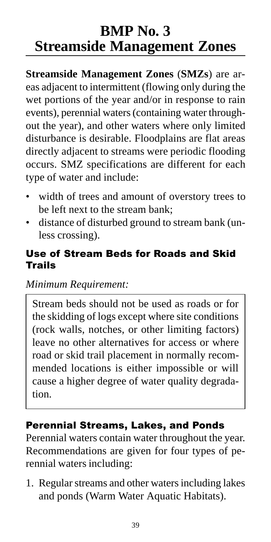# **BMP No. 3 Streamside Management Zones**

**Streamside Management Zones** (**SMZs**) are areas adjacent to intermittent (flowing only during the wet portions of the year and/or in response to rain events), perennial waters (containing water throughout the year), and other waters where only limited disturbance is desirable. Floodplains are flat areas directly adjacent to streams were periodic flooding occurs. SMZ specifications are different for each type of water and include:

- width of trees and amount of overstory trees to be left next to the stream bank;
- distance of disturbed ground to stream bank (unless crossing).

### Use of Stream Beds for Roads and Skid Trails

*Minimum Requirement:*

Stream beds should not be used as roads or for the skidding of logs except where site conditions (rock walls, notches, or other limiting factors) leave no other alternatives for access or where road or skid trail placement in normally recommended locations is either impossible or will cause a higher degree of water quality degradation.

## Perennial Streams, Lakes, and Ponds

Perennial waters contain water throughout the year. Recommendations are given for four types of perennial waters including:

1. Regular streams and other waters including lakes and ponds (Warm Water Aquatic Habitats).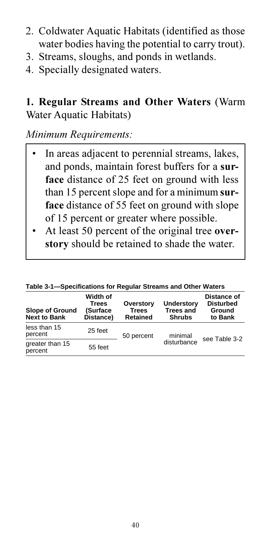- 2. Coldwater Aquatic Habitats (identified as those water bodies having the potential to carry trout).
- 3. Streams, sloughs, and ponds in wetlands.
- 4. Specially designated waters.

**1. Regular Streams and Other Waters** (Warm Water Aquatic Habitats)

*Minimum Requirements:*

- In areas adjacent to perennial streams, lakes, and ponds, maintain forest buffers for a **surface** distance of 25 feet on ground with less than 15 percent slope and for a minimum **surface** distance of 55 feet on ground with slope of 15 percent or greater where possible.
- At least 50 percent of the original tree **overstory** should be retained to shade the water.

| Taple J-1—Juccilications for Requial Julcanis and Ouler Waters |                                                   |                                       |                                                 |                                                      |
|----------------------------------------------------------------|---------------------------------------------------|---------------------------------------|-------------------------------------------------|------------------------------------------------------|
| <b>Slope of Ground</b><br><b>Next to Bank</b>                  | Width of<br><b>Trees</b><br>(Surface<br>Distance) | Overstory<br><b>Trees</b><br>Retained | Understory<br><b>Trees and</b><br><b>Shrubs</b> | Distance of<br><b>Disturbed</b><br>Ground<br>to Bank |
| less than 15<br>percent                                        | 25 feet                                           | 50 percent                            | minimal                                         | see Table 3-2                                        |
| greater than 15<br>percent                                     | 55 feet                                           |                                       | disturbance                                     |                                                      |

**Table 3-1—Specifications for Regular Streams and Other Waters**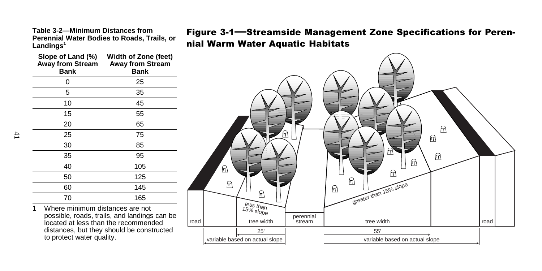Figure 3-1-Streamside Management Zone Specifications for Peren-Table 3-2—Minimum Distances from Figure 3-1—Streamside Managemental Water Bodies to Roads, Trails, or **Perential Water Bodies to Roads, Trails, or and National Perennial Landings<sup>1</sup><br>Landings<sup>1</sup>** 





Where minimum distances are not possible, roads, trails, and landings can be located at less than the recommended distances, but they should be constructed to protect water quality.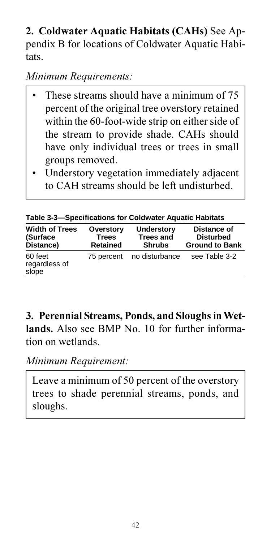**2. Coldwater Aquatic Habitats (CAHs)** See Appendix B for locations of Coldwater Aquatic Habitats.

*Minimum Requirements:*

- These streams should have a minimum of 75 percent of the original tree overstory retained within the 60-foot-wide strip on either side of the stream to provide shade. CAHs should have only individual trees or trees in small groups removed.
- Understory vegetation immediately adjacent to CAH streams should be left undisturbed.

**Table 3-3—Specifications for Coldwater Aquatic Habitats**

| <b>Width of Trees</b><br>(Surface<br>Distance) | Overstory<br><b>Trees</b><br>Retained | Understory<br><b>Trees and</b><br><b>Shrubs</b> | Distance of<br><b>Disturbed</b><br><b>Ground to Bank</b> |
|------------------------------------------------|---------------------------------------|-------------------------------------------------|----------------------------------------------------------|
| 60 feet<br>regardless of<br>slope              |                                       | 75 percent no disturbance                       | see Table 3-2                                            |

**3. Perennial Streams, Ponds, and Sloughs in Wetlands.** Also see BMP No. 10 for further information on wetlands.

*Minimum Requirement:*

Leave a minimum of 50 percent of the overstory trees to shade perennial streams, ponds, and sloughs.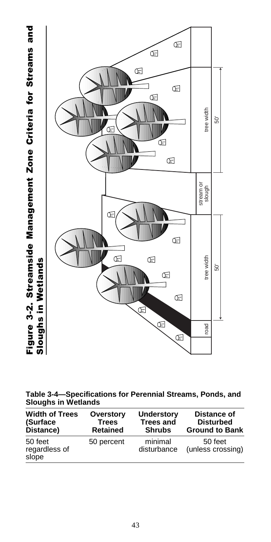Figure 3-2. Streamside Management Zone Criteria for Streams and Figure 3-2. Streamside Management Zone Criteria for Streams and Sloughs in Wetlands Sloughs in Wetlands



**Table 3-4—Specifications for Perennial Streams, Ponds, and Sloughs in Wetlands**

| <b>Width of Trees</b>             | Overstory       | <b>Understory</b>      | Distance of                  |
|-----------------------------------|-----------------|------------------------|------------------------------|
| (Surface                          | <b>Trees</b>    | <b>Trees and</b>       | <b>Disturbed</b>             |
| Distance)                         | <b>Retained</b> | <b>Shrubs</b>          | <b>Ground to Bank</b>        |
| 50 feet<br>regardless of<br>slope | 50 percent      | minimal<br>disturbance | 50 feet<br>(unless crossing) |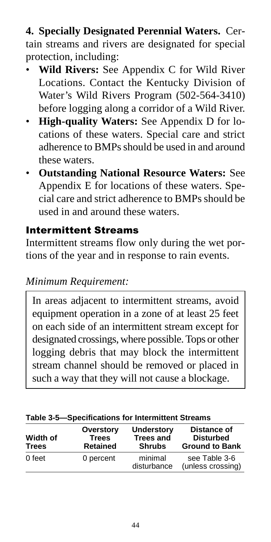**4. Specially Designated Perennial Waters.** Certain streams and rivers are designated for special protection, including:

- **Wild Rivers:** See Appendix C for Wild River Locations. Contact the Kentucky Division of Water's Wild Rivers Program (502-564-3410) before logging along a corridor of a Wild River.
- **High-quality Waters:** See Appendix D for locations of these waters. Special care and strict adherence to BMPs should be used in and around these waters.
- **Outstanding National Resource Waters:** See Appendix E for locations of these waters. Special care and strict adherence to BMPs should be used in and around these waters.

### Intermittent Streams

Intermittent streams flow only during the wet portions of the year and in response to rain events.

## *Minimum Requirement:*

In areas adjacent to intermittent streams, avoid equipment operation in a zone of at least 25 feet on each side of an intermittent stream except for designated crossings, where possible. Tops or other logging debris that may block the intermittent stream channel should be removed or placed in such a way that they will not cause a blockage.

| Width of<br><b>Trees</b> | Overstory<br><b>Trees</b><br><b>Retained</b> | <b>Understory</b><br><b>Trees and</b><br><b>Shrubs</b> | Distance of<br><b>Disturbed</b><br><b>Ground to Bank</b> |
|--------------------------|----------------------------------------------|--------------------------------------------------------|----------------------------------------------------------|
| 0 feet                   | 0 percent                                    | minimal<br>disturbance                                 | see Table 3-6<br>(unless crossing)                       |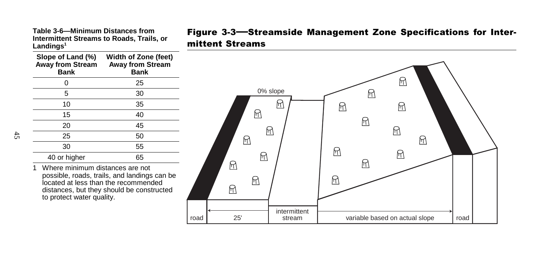| Table 3-6—Minimum Distances from          |  |
|-------------------------------------------|--|
| Intermittent Streams to Roads. Trails. or |  |
| Landinɑs $^{\rm 1}$                       |  |

| Slope of Land (%)<br><b>Away from Stream</b><br>Bank | Width of Zone (feet)<br><b>Away from Stream</b><br>Bank |
|------------------------------------------------------|---------------------------------------------------------|
| ი                                                    | 25                                                      |
| 5                                                    | 30                                                      |
| 10                                                   | 35                                                      |
| 15                                                   | 40                                                      |
| 20                                                   | 45                                                      |
| 25                                                   | 50                                                      |
| 30                                                   | 55                                                      |
| 40 or higher                                         | 65                                                      |

1 Where minimum distances are not possible, roads, trails, and landings can be located at less than the recommended distances, but they should be constructed to protect water quality.